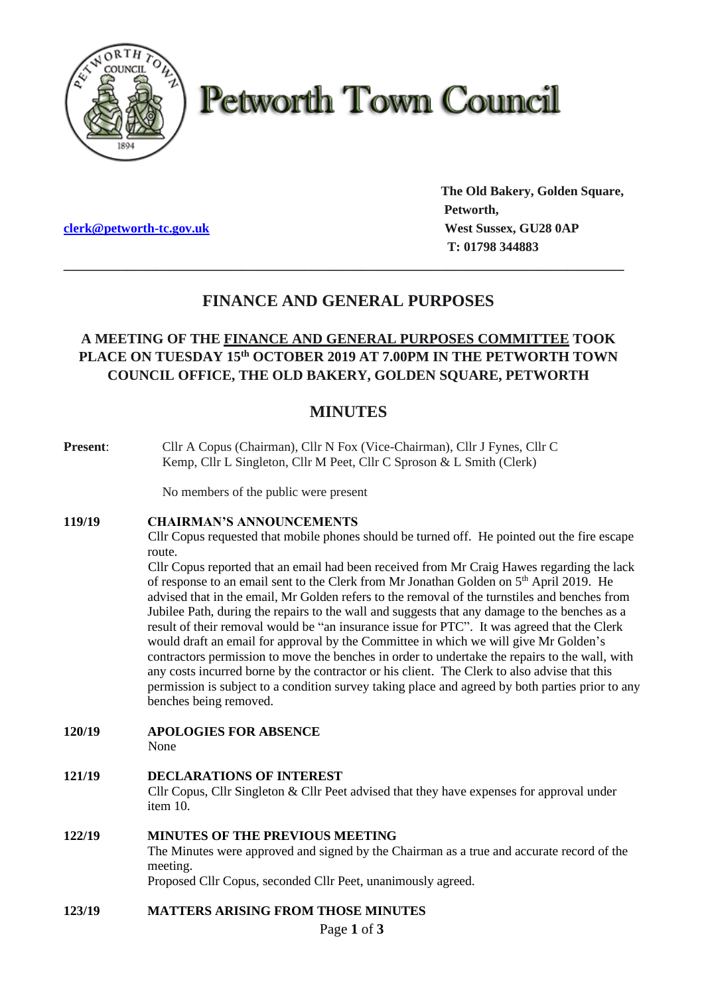

# **Petworth Town Council**

**The Old Bakery, Golden Square, Petworth, clerk@petworth-tc.gov.uk** *West Sussex, GU28 0AP*  **T: 01798 344883**

## **FINANCE AND GENERAL PURPOSES**

**\_\_\_\_\_\_\_\_\_\_\_\_\_\_\_\_\_\_\_\_\_\_\_\_\_\_\_\_\_\_\_\_\_\_\_\_\_\_\_\_\_\_\_\_\_\_\_\_\_\_\_\_\_\_\_\_\_\_\_\_\_\_\_\_\_\_\_\_\_\_\_\_\_\_\_\_\_\_\_**

### **A MEETING OF THE FINANCE AND GENERAL PURPOSES COMMITTEE TOOK PLACE ON TUESDAY 15 th OCTOBER 2019 AT 7.00PM IN THE PETWORTH TOWN COUNCIL OFFICE, THE OLD BAKERY, GOLDEN SQUARE, PETWORTH**

## **MINUTES**

| Present:    | Cllr A Copus (Chairman), Cllr N Fox (Vice-Chairman), Cllr J Fynes, Cllr C<br>Kemp, Cllr L Singleton, Cllr M Peet, Cllr C Sproson & L Smith (Clerk)                                                                                                                                                                                                                                                                                                                                                                                                                                                                                                                                                                                                                                                                                                                                                                                                                                                                                                                      |
|-------------|-------------------------------------------------------------------------------------------------------------------------------------------------------------------------------------------------------------------------------------------------------------------------------------------------------------------------------------------------------------------------------------------------------------------------------------------------------------------------------------------------------------------------------------------------------------------------------------------------------------------------------------------------------------------------------------------------------------------------------------------------------------------------------------------------------------------------------------------------------------------------------------------------------------------------------------------------------------------------------------------------------------------------------------------------------------------------|
|             | No members of the public were present                                                                                                                                                                                                                                                                                                                                                                                                                                                                                                                                                                                                                                                                                                                                                                                                                                                                                                                                                                                                                                   |
| 119/19      | <b>CHAIRMAN'S ANNOUNCEMENTS</b><br>Cllr Copus requested that mobile phones should be turned off. He pointed out the fire escape<br>route.<br>Cllr Copus reported that an email had been received from Mr Craig Hawes regarding the lack<br>of response to an email sent to the Clerk from Mr Jonathan Golden on 5 <sup>th</sup> April 2019. He<br>advised that in the email, Mr Golden refers to the removal of the turnstiles and benches from<br>Jubilee Path, during the repairs to the wall and suggests that any damage to the benches as a<br>result of their removal would be "an insurance issue for PTC". It was agreed that the Clerk<br>would draft an email for approval by the Committee in which we will give Mr Golden's<br>contractors permission to move the benches in order to undertake the repairs to the wall, with<br>any costs incurred borne by the contractor or his client. The Clerk to also advise that this<br>permission is subject to a condition survey taking place and agreed by both parties prior to any<br>benches being removed. |
| 120/19      | <b>APOLOGIES FOR ABSENCE</b><br>None                                                                                                                                                                                                                                                                                                                                                                                                                                                                                                                                                                                                                                                                                                                                                                                                                                                                                                                                                                                                                                    |
| 121/19      | <b>DECLARATIONS OF INTEREST</b><br>Cllr Copus, Cllr Singleton $&$ Cllr Peet advised that they have expenses for approval under<br>item 10.                                                                                                                                                                                                                                                                                                                                                                                                                                                                                                                                                                                                                                                                                                                                                                                                                                                                                                                              |
| 122/19      | <b>MINUTES OF THE PREVIOUS MEETING</b><br>The Minutes were approved and signed by the Chairman as a true and accurate record of the<br>meeting.<br>Proposed Cllr Copus, seconded Cllr Peet, unanimously agreed.                                                                                                                                                                                                                                                                                                                                                                                                                                                                                                                                                                                                                                                                                                                                                                                                                                                         |
| 123/19      | <b>MATTERS ARISING FROM THOSE MINUTES</b>                                                                                                                                                                                                                                                                                                                                                                                                                                                                                                                                                                                                                                                                                                                                                                                                                                                                                                                                                                                                                               |
| Page 1 of 3 |                                                                                                                                                                                                                                                                                                                                                                                                                                                                                                                                                                                                                                                                                                                                                                                                                                                                                                                                                                                                                                                                         |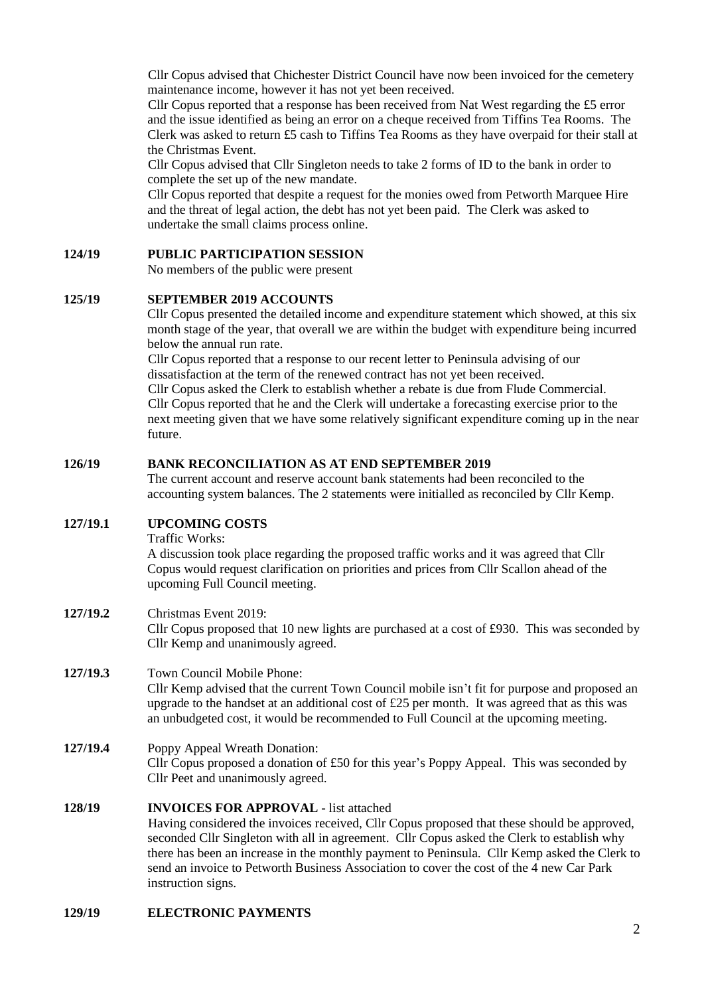Cllr Copus advised that Chichester District Council have now been invoiced for the cemetery maintenance income, however it has not yet been received.

Cllr Copus reported that a response has been received from Nat West regarding the £5 error and the issue identified as being an error on a cheque received from Tiffins Tea Rooms. The Clerk was asked to return £5 cash to Tiffins Tea Rooms as they have overpaid for their stall at the Christmas Event.

Cllr Copus advised that Cllr Singleton needs to take 2 forms of ID to the bank in order to complete the set up of the new mandate.

Cllr Copus reported that despite a request for the monies owed from Petworth Marquee Hire and the threat of legal action, the debt has not yet been paid. The Clerk was asked to undertake the small claims process online.

#### **124/19 PUBLIC PARTICIPATION SESSION**

No members of the public were present

#### **125/19 SEPTEMBER 2019 ACCOUNTS**

Cllr Copus presented the detailed income and expenditure statement which showed, at this six month stage of the year, that overall we are within the budget with expenditure being incurred below the annual run rate.

Cllr Copus reported that a response to our recent letter to Peninsula advising of our dissatisfaction at the term of the renewed contract has not yet been received.

Cllr Copus asked the Clerk to establish whether a rebate is due from Flude Commercial. Cllr Copus reported that he and the Clerk will undertake a forecasting exercise prior to the next meeting given that we have some relatively significant expenditure coming up in the near future.

#### **126/19 BANK RECONCILIATION AS AT END SEPTEMBER 2019**

The current account and reserve account bank statements had been reconciled to the accounting system balances. The 2 statements were initialled as reconciled by Cllr Kemp.

#### **127/19.1 UPCOMING COSTS**

Traffic Works:

A discussion took place regarding the proposed traffic works and it was agreed that Cllr Copus would request clarification on priorities and prices from Cllr Scallon ahead of the upcoming Full Council meeting.

**127/19.2** Christmas Event 2019: Cllr Copus proposed that 10 new lights are purchased at a cost of £930. This was seconded by Cllr Kemp and unanimously agreed.

#### **127/19.3** Town Council Mobile Phone:

Cllr Kemp advised that the current Town Council mobile isn't fit for purpose and proposed an upgrade to the handset at an additional cost of £25 per month. It was agreed that as this was an unbudgeted cost, it would be recommended to Full Council at the upcoming meeting.

**127/19.4** Poppy Appeal Wreath Donation: Cllr Copus proposed a donation of £50 for this year's Poppy Appeal. This was seconded by Cllr Peet and unanimously agreed.

#### **128/19 INVOICES FOR APPROVAL -** list attached Having considered the invoices received, Cllr Copus proposed that these should be approved, seconded Cllr Singleton with all in agreement. Cllr Copus asked the Clerk to establish why there has been an increase in the monthly payment to Peninsula. Cllr Kemp asked the Clerk to send an invoice to Petworth Business Association to cover the cost of the 4 new Car Park instruction signs.

#### **129/19 ELECTRONIC PAYMENTS**